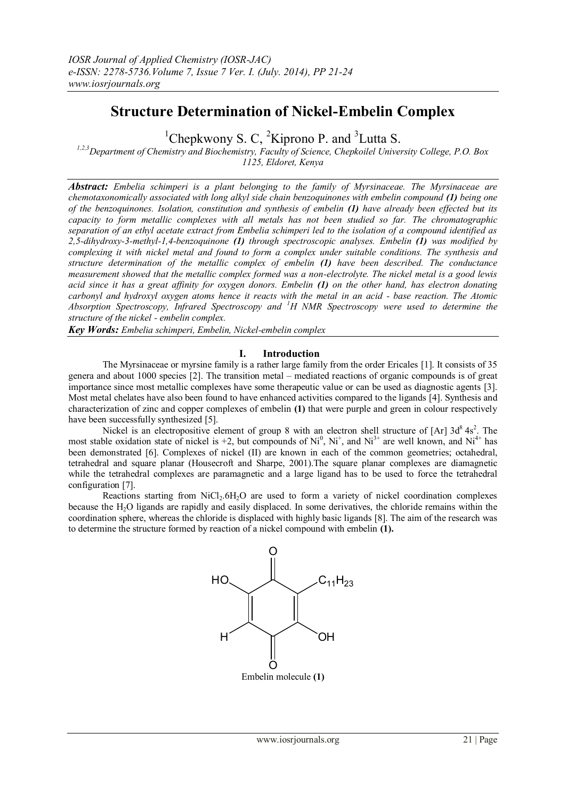# **Structure Determination of Nickel-Embelin Complex**

<sup>1</sup>Chepkwony S. C, <sup>2</sup>Kiprono P. and <sup>3</sup>Lutta S.

*1,2,3Department of Chemistry and Biochemistry, Faculty of Science, Chepkoilel University College, P.O. Box 1125, Eldoret, Kenya*

*Abstract: Embelia schimperi is a plant belonging to the family of Myrsinaceae. The Myrsinaceae are chemotaxonomically associated with long alkyl side chain benzoquinones with embelin compound (1) being one of the benzoquinones. Isolation, constitution and synthesis of embelin (1) have already been effected but its capacity to form metallic complexes with all metals has not been studied so far. The chromatographic separation of an ethyl acetate extract from Embelia schimperi led to the isolation of a compound identified as 2,5-dihydroxy-3-methyl-1,4-benzoquinone (1) through spectroscopic analyses. Embelin (1) was modified by complexing it with nickel metal and found to form a complex under suitable conditions. The synthesis and structure determination of the metallic complex of embelin (1) have been described. The conductance measurement showed that the metallic complex formed was a non-electrolyte. The nickel metal is a good lewis acid since it has a great affinity for oxygen donors. Embelin (1) on the other hand, has electron donating carbonyl and hydroxyl oxygen atoms hence it reacts with the metal in an acid - base reaction. The Atomic Absorption Spectroscopy, Infrared Spectroscopy and <sup>1</sup>H NMR Spectroscopy were used to determine the structure of the nickel - embelin complex.* 

*Key Words: Embelia schimperi, Embelin, Nickel-embelin complex*

### **I. Introduction**

The Myrsinaceae or myrsine family is a rather large family from the order Ericales [1]. It consists of 35 genera and about 1000 species [2]. The transition metal – mediated reactions of organic compounds is of great importance since most metallic complexes have some therapeutic value or can be used as diagnostic agents [3]. Most metal chelates have also been found to have enhanced activities compared to the ligands [4]. Synthesis and characterization of zinc and copper complexes of embelin **(1)** that were purple and green in colour respectively have been successfully synthesized [5].

Nickel is an electropositive element of group 8 with an electron shell structure of [Ar]  $3d<sup>8</sup>$  4s<sup>2</sup>. The most stable [oxidation state](http://en.wikipedia.org/wiki/Oxidation_state) of nickel is +2, but compounds of  $Ni^0$ ,  $Ni^+$ , and  $Ni^{3+}$  are well known, and  $Ni^{4+}$  has been demonstrated [6]. Complexes of nickel (II) are known in each of the common geometries; octahedral, tetrahedral and square planar (Housecroft and Sharpe, 2001).The square planar complexes are [diamagnetic](http://en.wikipedia.org/wiki/Diamagnetic) while the tetrahedral complexes are paramagnetic and a large ligand has to be used to force the tetrahedral configuration [7].

Reactions starting from NiCl<sub>2</sub>.6H<sub>2</sub>O are used to form a variety of nickel coordination complexes because the H2O ligands are rapidly and easily displaced. In some derivatives, the chloride remains within the coordination sphere, whereas the chloride is displaced with highly basic ligands [8]. The aim of the research was to determine the structure formed by reaction of a nickel compound with embelin **(1).**

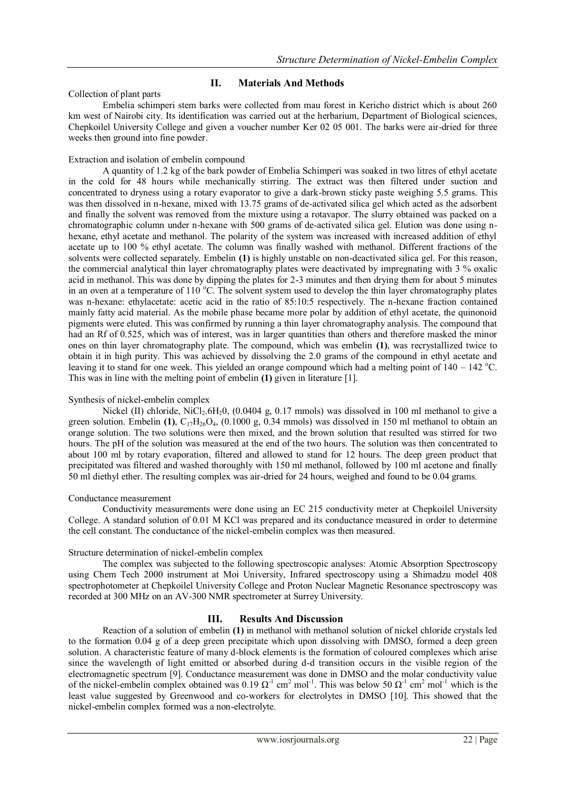## **II. Materials And Methods**

## Collection of plant parts

Embelia schimperi stem barks were collected from mau forest in Kericho district which is about 260 km west of Nairobi city. Its identification was carried out at the herbarium, Department of Biological sciences, Chepkoilel University College and given a voucher number Ker 02 05 001. The barks were air-dried for three weeks then ground into fine powder.

## Extraction and isolation of embelin compound

A quantity of 1.2 kg of the bark powder of Embelia Schimperi was soaked in two litres of ethyl acetate in the cold for 48 hours while mechanically stirring. The extract was then filtered under suction and concentrated to dryness using a rotary evaporator to give a dark-brown sticky paste weighing 5.5 grams. This was then dissolved in n-hexane, mixed with 13.75 grams of de-activated silica gel which acted as the adsorbent and finally the solvent was removed from the mixture using a rotavapor. The slurry obtained was packed on a chromatographic column under n-hexane with 500 grams of de-activated silica gel. Elution was done using nhexane, ethyl acetate and methanol. The polarity of the system was increased with increased addition of ethyl acetate up to 100 % ethyl acetate. The column was finally washed with methanol. Different fractions of the solvents were collected separately. Embelin **(1)** is highly unstable on non-deactivated silica gel. For this reason, the commercial analytical thin layer chromatography plates were deactivated by impregnating with 3 % oxalic acid in methanol. This was done by dipping the plates for 2-3 minutes and then drying them for about 5 minutes in an oven at a temperature of 110  $^{\circ}$ C. The solvent system used to develop the thin layer chromatography plates was n-hexane: ethylacetate: acetic acid in the ratio of 85:10:5 respectively. The n-hexane fraction contained mainly fatty acid material. As the mobile phase became more polar by addition of ethyl acetate, the quinonoid pigments were eluted. This was confirmed by running a thin layer chromatography analysis. The compound that had an Rf of 0.525, which was of interest, was in larger quantities than others and therefore masked the minor ones on thin layer chromatography plate. The compound, which was embelin **(1)**, was recrystallized twice to obtain it in high purity. This was achieved by dissolving the 2.0 grams of the compound in ethyl acetate and leaving it to stand for one week. This yielded an orange compound which had a melting point of  $140 - 142$  °C. This was in line with the melting point of embelin **(1)** given in literature [1].

## Synthesis of nickel-embelin complex

Nickel (II) chloride, NiCl<sub>2</sub>.6H<sub>2</sub>0, (0.0404 g, 0.17 mmols) was dissolved in 100 ml methanol to give a green solution. Embelin **(1)**,  $C_{17}H_{26}O_4$ , (0.1000 g, 0.34 mmols) was dissolved in 150 ml methanol to obtain an orange solution. The two solutions were then mixed, and the brown solution that resulted was stirred for two hours. The pH of the solution was measured at the end of the two hours. The solution was then concentrated to about 100 ml by rotary evaporation, filtered and allowed to stand for 12 hours. The deep green product that precipitated was filtered and washed thoroughly with 150 ml methanol, followed by 100 ml acetone and finally 50 ml diethyl ether. The resulting complex was air-dried for 24 hours, weighed and found to be 0.04 grams.

### Conductance measurement

Conductivity measurements were done using an EC 215 conductivity meter at Chepkoilel University College. A standard solution of 0.01 M KCl was prepared and its conductance measured in order to determine the cell constant. The conductance of the nickel-embelin complex was then measured.

## Structure determination of nickel-embelin complex

The complex was subjected to the following spectroscopic analyses: Atomic Absorption Spectroscopy using Chem Tech 2000 instrument at Moi University, Infrared spectroscopy using a Shimadzu model 408 spectrophotometer at Chepkoilel University College and Proton Nuclear Magnetic Resonance spectroscopy was recorded at 300 MHz on an AV-300 NMR spectrometer at Surrey University.

## **III. Results And Discussion**

 Reaction of a solution of embelin **(1)** in methanol with methanol solution of nickel chloride crystals led to the formation 0.04 g of a deep green precipitate which upon dissolving with DMSO, formed a deep green solution. A characteristic feature of many d-block elements is the formation of coloured complexes which arise since the wavelength of light emitted or absorbed during d-d transition occurs in the visible region of the electromagnetic spectrum [9]. Conductance measurement was done in DMSO and the molar conductivity value of the nickel-embelin complex obtained was 0.19  $\Omega^{-1}$  cm<sup>2</sup> mol<sup>-1</sup>. This was below 50  $\Omega^{-1}$  cm<sup>2</sup> mol<sup>-1</sup> which is the least value suggested by Greenwood and co-workers for electrolytes in DMSO [10]. This showed that the nickel-embelin complex formed was a non-electrolyte.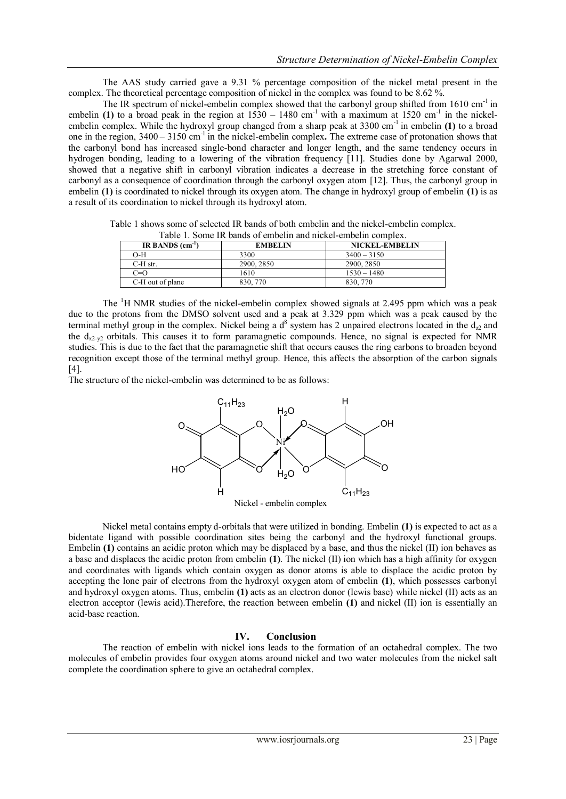The AAS study carried gave a 9.31 % percentage composition of the nickel metal present in the complex. The theoretical percentage composition of nickel in the complex was found to be 8.62 %.

The IR spectrum of nickel-embelin complex showed that the carbonyl group shifted from  $1610 \text{ cm}^{-1}$  in embelin (1) to a broad peak in the region at  $1530 - 1480$  cm<sup>-1</sup> with a maximum at  $1520$  cm<sup>-1</sup> in the nickelembelin complex. While the hydroxyl group changed from a sharp peak at 3300 cm-1 in embelin **(1)** to a broad one in the region, 3400 – 3150 cm-1 in the nickel-embelin complex**.** The extreme case of protonation shows that the carbonyl bond has increased single-bond character and longer length, and the same tendency occurs in hydrogen bonding, leading to a lowering of the vibration frequency [11]. Studies done by Agarwal 2000, showed that a negative shift in carbonyl vibration indicates a decrease in the stretching force constant of carbonyl as a consequence of coordination through the carbonyl oxygen atom [12]. Thus, the carbonyl group in embelin **(1)** is coordinated to nickel through its oxygen atom. The change in hydroxyl group of embelin **(1)** is as a result of its coordination to nickel through its hydroxyl atom.

Table 1 shows some of selected IR bands of both embelin and the nickel-embelin complex. Table 1. Some IR bands of embelin and nickel-embelin complex.

| IR BANDS $(cm-1)$ | <b>EMBELIN</b> | NICKEL-EMBELIN |
|-------------------|----------------|----------------|
| O-H               | 3300           | $3400 - 3150$  |
| $C-H$ str.        | 2900, 2850     | 2900, 2850     |
| $C=O$             | 1610           | $1530 - 1480$  |
| C-H out of plane  | 830, 770       | 830, 770       |

The  ${}^{1}H$  NMR studies of the nickel-embelin complex showed signals at 2.495 ppm which was a peak due to the protons from the DMSO solvent used and a peak at 3.329 ppm which was a peak caused by the terminal methyl group in the complex. Nickel being a  $d^8$  system has 2 unpaired electrons located in the  $d_{z2}$  and the  $d_{x2-y2}$  orbitals. This causes it to form paramagnetic compounds. Hence, no signal is expected for NMR studies. This is due to the fact that the paramagnetic shift that occurs causes the ring carbons to broaden beyond recognition except those of the terminal methyl group. Hence, this affects the absorption of the carbon signals [4].

The structure of the nickel-embelin was determined to be as follows:



Nickel metal contains empty d-orbitals that were utilized in bonding. Embelin **(1)** is expected to act as a bidentate ligand with possible coordination sites being the carbonyl and the hydroxyl functional groups. Embelin **(1)** contains an acidic proton which may be displaced by a base, and thus the nickel **(II)** ion behaves as a base and displaces the acidic proton from embelin **(1)**. The nickel (II) ion which has a high affinity for oxygen and coordinates with ligands which contain oxygen as donor atoms is able to displace the acidic proton by accepting the lone pair of electrons from the hydroxyl oxygen atom of embelin **(1)**, which possesses carbonyl and hydroxyl oxygen atoms. Thus, embelin **(1)** acts as an electron donor (lewis base) while nickel (II) acts as an electron acceptor (lewis acid).Therefore, the reaction between embelin **(1)** and nickel (II) ion is essentially an acid-base reaction.

### **IV. Conclusion**

The reaction of embelin with nickel ions leads to the formation of an octahedral complex. The two molecules of embelin provides four oxygen atoms around nickel and two water molecules from the nickel salt complete the coordination sphere to give an octahedral complex.